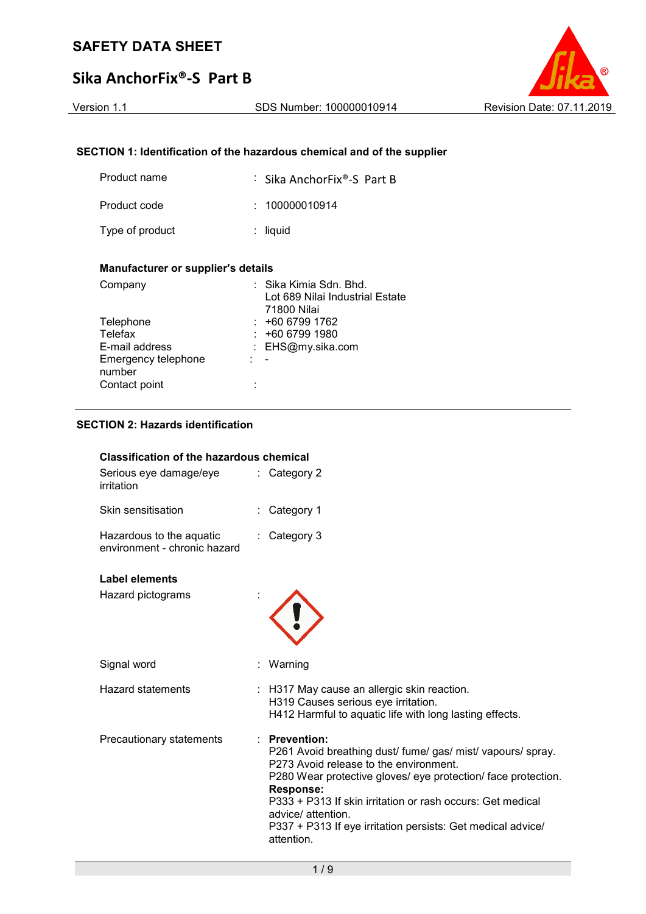

# **SECTION 1: Identification of the hazardous chemical and of the supplier**

| Product name                              | : Sika AnchorFix®-S Part B                                                            |  |  |  |
|-------------------------------------------|---------------------------------------------------------------------------------------|--|--|--|
| Product code                              | 100000010914<br>× 1                                                                   |  |  |  |
| Type of product                           | liquid                                                                                |  |  |  |
| <b>Manufacturer or supplier's details</b> |                                                                                       |  |  |  |
| Company                                   | Sika Kimia Sdn. Bhd.<br>Lot 689 Nilai Industrial Estate<br>$74000$ Mil <sub>o</sub> i |  |  |  |

| Company             | ∶ Sika Kimia Sdn. Bhd.          |
|---------------------|---------------------------------|
|                     | Lot 689 Nilai Industrial Estate |
|                     | 71800 Nilai                     |
| Telephone           | $: +6067991762$                 |
| Telefax             | $: +6067991980$                 |
| E-mail address      | : EHS@my.sika.com               |
| Emergency telephone |                                 |
| number              |                                 |
| Contact point       |                                 |
|                     |                                 |

# **SECTION 2: Hazards identification**

| <b>Classification of the hazardous chemical</b>          |                                                                                                                                                                                                                                                                                                                                                                                |  |  |
|----------------------------------------------------------|--------------------------------------------------------------------------------------------------------------------------------------------------------------------------------------------------------------------------------------------------------------------------------------------------------------------------------------------------------------------------------|--|--|
| Serious eye damage/eye<br>irritation                     | $\therefore$ Category 2                                                                                                                                                                                                                                                                                                                                                        |  |  |
| Skin sensitisation                                       | Category 1                                                                                                                                                                                                                                                                                                                                                                     |  |  |
| Hazardous to the aquatic<br>environment - chronic hazard | Category 3                                                                                                                                                                                                                                                                                                                                                                     |  |  |
| Label elements                                           |                                                                                                                                                                                                                                                                                                                                                                                |  |  |
| Hazard pictograms                                        |                                                                                                                                                                                                                                                                                                                                                                                |  |  |
| Signal word                                              | Warning                                                                                                                                                                                                                                                                                                                                                                        |  |  |
| <b>Hazard statements</b>                                 | : H317 May cause an allergic skin reaction.<br>H319 Causes serious eye irritation.<br>H412 Harmful to aquatic life with long lasting effects.                                                                                                                                                                                                                                  |  |  |
| Precautionary statements                                 | $:$ Prevention:<br>P261 Avoid breathing dust/ fume/ gas/ mist/ vapours/ spray.<br>P273 Avoid release to the environment.<br>P280 Wear protective gloves/ eye protection/ face protection.<br><b>Response:</b><br>P333 + P313 If skin irritation or rash occurs: Get medical<br>advice/ attention.<br>P337 + P313 If eye irritation persists: Get medical advice/<br>attention. |  |  |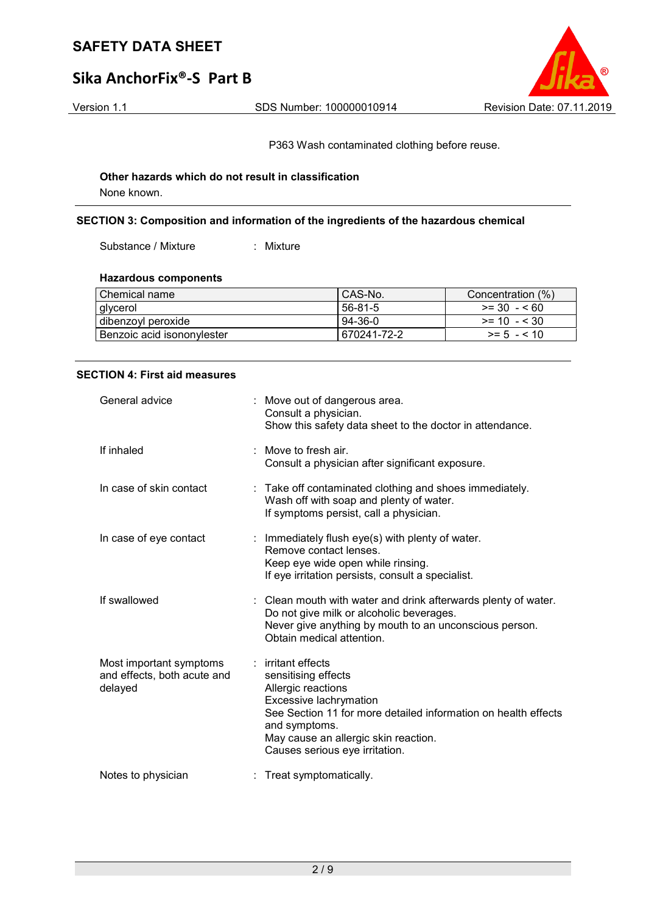Version 1.1 SDS Number: 100000010914 Revision Date: 07.11.2019

P363 Wash contaminated clothing before reuse.

## **Other hazards which do not result in classification** None known.

## **SECTION 3: Composition and information of the ingredients of the hazardous chemical**

Substance / Mixture : Mixture

### **Hazardous components**

| Chemical name                | CAS-No.     | Concentration (%) |
|------------------------------|-------------|-------------------|
| glycerol                     | 56-81-5     | $>= 30 - 560$     |
| dibenzoyl peroxide           | 94-36-0     | $>= 10 - 530$     |
| i Benzoic acid isononvlester | 670241-72-2 | $>= 5 - 5 10$     |

### **SECTION 4: First aid measures**

| General advice                                                    | : Move out of dangerous area.<br>Consult a physician.<br>Show this safety data sheet to the doctor in attendance.                                                                                                                                      |
|-------------------------------------------------------------------|--------------------------------------------------------------------------------------------------------------------------------------------------------------------------------------------------------------------------------------------------------|
| If inhaled                                                        | : Move to fresh air.<br>Consult a physician after significant exposure.                                                                                                                                                                                |
| In case of skin contact                                           | : Take off contaminated clothing and shoes immediately.<br>Wash off with soap and plenty of water.<br>If symptoms persist, call a physician.                                                                                                           |
| In case of eye contact                                            | : Immediately flush eye(s) with plenty of water.<br>Remove contact lenses.<br>Keep eye wide open while rinsing.<br>If eye irritation persists, consult a specialist.                                                                                   |
| If swallowed                                                      | : Clean mouth with water and drink afterwards plenty of water.<br>Do not give milk or alcoholic beverages.<br>Never give anything by mouth to an unconscious person.<br>Obtain medical attention.                                                      |
| Most important symptoms<br>and effects, both acute and<br>delayed | : irritant effects<br>sensitising effects<br>Allergic reactions<br>Excessive lachrymation<br>See Section 11 for more detailed information on health effects<br>and symptoms.<br>May cause an allergic skin reaction.<br>Causes serious eye irritation. |
| Notes to physician                                                | : Treat symptomatically.                                                                                                                                                                                                                               |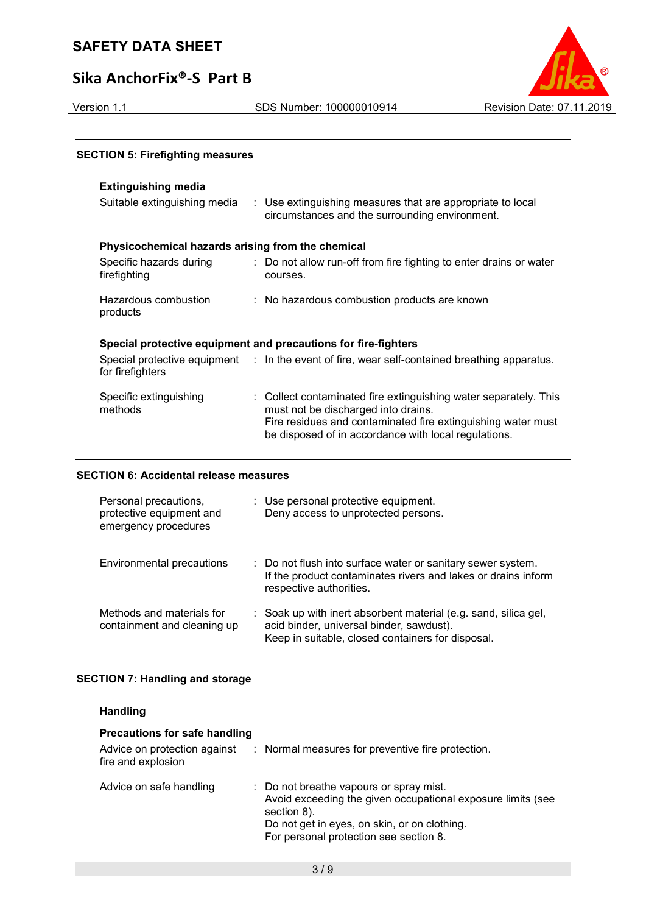# **Sika AnchorFix®-S Part B**



## **SECTION 5: Firefighting measures**

# **Extinguishing media**

| Suitable extinguishing media                      | : Use extinguishing measures that are appropriate to local<br>circumstances and the surrounding environment.                                                                                                                    |
|---------------------------------------------------|---------------------------------------------------------------------------------------------------------------------------------------------------------------------------------------------------------------------------------|
| Physicochemical hazards arising from the chemical |                                                                                                                                                                                                                                 |
| Specific hazards during<br>firefighting           | : Do not allow run-off from fire fighting to enter drains or water<br>courses.                                                                                                                                                  |
| Hazardous combustion<br>products                  | : No hazardous combustion products are known                                                                                                                                                                                    |
|                                                   | Special protective equipment and precautions for fire-fighters                                                                                                                                                                  |
| for firefighters                                  | Special protective equipment : In the event of fire, wear self-contained breathing apparatus.                                                                                                                                   |
| Specific extinguishing<br>methods                 | : Collect contaminated fire extinguishing water separately. This<br>must not be discharged into drains.<br>Fire residues and contaminated fire extinguishing water must<br>be disposed of in accordance with local regulations. |

## **SECTION 6: Accidental release measures**

| Personal precautions,<br>protective equipment and<br>emergency procedures | : Use personal protective equipment.<br>Deny access to unprotected persons.                                                                                      |
|---------------------------------------------------------------------------|------------------------------------------------------------------------------------------------------------------------------------------------------------------|
| Environmental precautions                                                 | : Do not flush into surface water or sanitary sewer system.<br>If the product contaminates rivers and lakes or drains inform<br>respective authorities.          |
| Methods and materials for<br>containment and cleaning up                  | : Soak up with inert absorbent material (e.g. sand, silica gel,<br>acid binder, universal binder, sawdust).<br>Keep in suitable, closed containers for disposal. |

## **SECTION 7: Handling and storage**

| <b>Handling</b> |  |
|-----------------|--|
|-----------------|--|

| <b>Precautions for safe handling</b>               |                                                                                                                                                                                                                 |
|----------------------------------------------------|-----------------------------------------------------------------------------------------------------------------------------------------------------------------------------------------------------------------|
| Advice on protection against<br>fire and explosion | : Normal measures for preventive fire protection.                                                                                                                                                               |
| Advice on safe handling                            | : Do not breathe vapours or spray mist.<br>Avoid exceeding the given occupational exposure limits (see<br>section 8).<br>Do not get in eyes, on skin, or on clothing.<br>For personal protection see section 8. |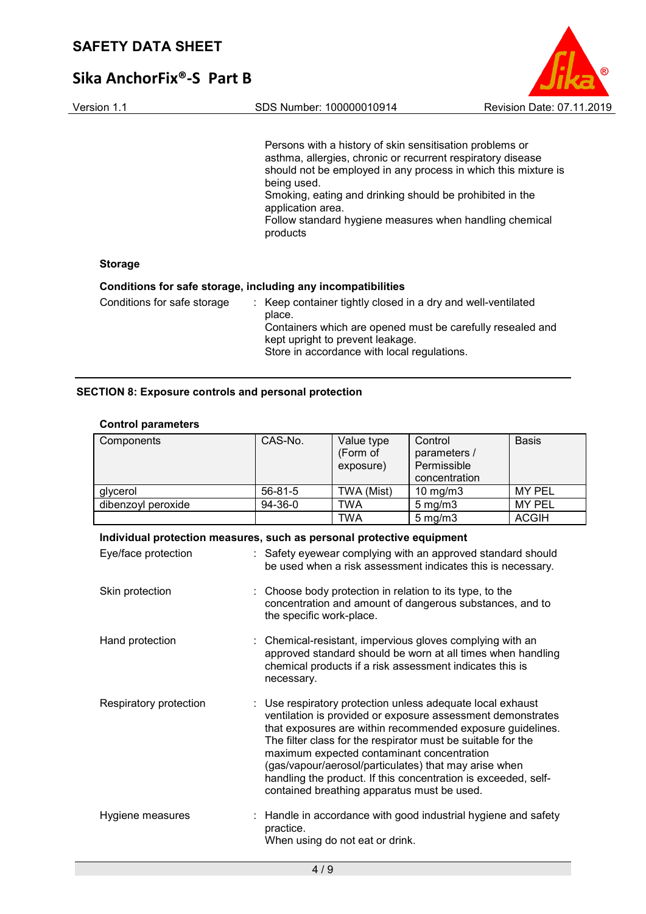

| Version 1.1                 | SDS Number: 100000010914                                                                                                                                                                                                                                                                       | Revision Date: 07.11.2019                                      |
|-----------------------------|------------------------------------------------------------------------------------------------------------------------------------------------------------------------------------------------------------------------------------------------------------------------------------------------|----------------------------------------------------------------|
|                             | Persons with a history of skin sensitisation problems or<br>asthma, allergies, chronic or recurrent respiratory disease<br>being used.<br>Smoking, eating and drinking should be prohibited in the<br>application area.<br>Follow standard hygiene measures when handling chemical<br>products | should not be employed in any process in which this mixture is |
| <b>Storage</b>              |                                                                                                                                                                                                                                                                                                |                                                                |
|                             | Conditions for safe storage, including any incompatibilities                                                                                                                                                                                                                                   |                                                                |
| Conditions for safe storage | : Keep container tightly closed in a dry and well-ventilated<br>place.                                                                                                                                                                                                                         |                                                                |

kept upright to prevent leakage.

Store in accordance with local regulations.

Containers which are opened must be carefully resealed and

# **SECTION 8: Exposure controls and personal protection**

# **Control parameters**

| Components                                                            | CAS-No.                  | Value type<br>(Form of<br>exposure)         | Control<br>parameters /<br>Permissible<br>concentration                                                                                                                                                                                                                                                                                                                                                                        | <b>Basis</b>  |
|-----------------------------------------------------------------------|--------------------------|---------------------------------------------|--------------------------------------------------------------------------------------------------------------------------------------------------------------------------------------------------------------------------------------------------------------------------------------------------------------------------------------------------------------------------------------------------------------------------------|---------------|
| glycerol                                                              | 56-81-5                  | TWA (Mist)                                  | 10 mg/m3                                                                                                                                                                                                                                                                                                                                                                                                                       | MY PEL        |
| dibenzoyl peroxide                                                    | 94-36-0                  | <b>TWA</b>                                  | $5$ mg/m $3$                                                                                                                                                                                                                                                                                                                                                                                                                   | <b>MY PEL</b> |
|                                                                       |                          | <b>TWA</b>                                  | $5$ mg/m $3$                                                                                                                                                                                                                                                                                                                                                                                                                   | <b>ACGIH</b>  |
| Individual protection measures, such as personal protective equipment |                          |                                             |                                                                                                                                                                                                                                                                                                                                                                                                                                |               |
| Eye/face protection                                                   |                          |                                             | : Safety eyewear complying with an approved standard should<br>be used when a risk assessment indicates this is necessary.                                                                                                                                                                                                                                                                                                     |               |
| Skin protection                                                       | the specific work-place. |                                             | Choose body protection in relation to its type, to the<br>concentration and amount of dangerous substances, and to                                                                                                                                                                                                                                                                                                             |               |
| Hand protection                                                       | necessary.               |                                             | : Chemical-resistant, impervious gloves complying with an<br>approved standard should be worn at all times when handling<br>chemical products if a risk assessment indicates this is                                                                                                                                                                                                                                           |               |
| Respiratory protection                                                |                          | contained breathing apparatus must be used. | Use respiratory protection unless adequate local exhaust<br>ventilation is provided or exposure assessment demonstrates<br>that exposures are within recommended exposure guidelines.<br>The filter class for the respirator must be suitable for the<br>maximum expected contaminant concentration<br>(gas/vapour/aerosol/particulates) that may arise when<br>handling the product. If this concentration is exceeded, self- |               |
| Hygiene measures                                                      | practice.                | When using do not eat or drink.             | Handle in accordance with good industrial hygiene and safety                                                                                                                                                                                                                                                                                                                                                                   |               |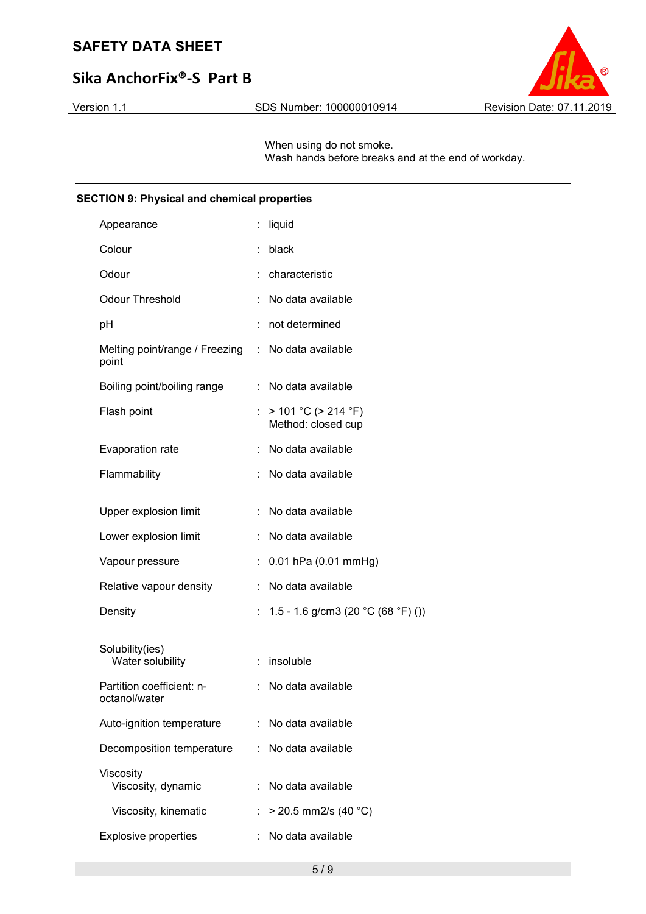# **Sika AnchorFix®-S Part B**



When using do not smoke. Wash hands before breaks and at the end of workday.

## **SECTION 9: Physical and chemical properties**

| Appearance                                 | t  | liquid                                          |
|--------------------------------------------|----|-------------------------------------------------|
| Colour                                     |    | black                                           |
| Odour                                      |    | characteristic                                  |
| <b>Odour Threshold</b>                     |    | No data available                               |
| рH                                         |    | not determined                                  |
| Melting point/range / Freezing<br>point    |    | : No data available                             |
| Boiling point/boiling range                | t. | No data available                               |
| Flash point                                | t. | $> 101 °C$ ( $> 214 °F$ )<br>Method: closed cup |
| Evaporation rate                           |    | No data available                               |
| Flammability                               |    | No data available                               |
| Upper explosion limit                      |    | No data available                               |
| Lower explosion limit                      |    | No data available                               |
| Vapour pressure                            | t, | 0.01 hPa (0.01 mmHg)                            |
| Relative vapour density                    | t  | No data available                               |
| Density                                    |    | 1.5 - 1.6 g/cm3 (20 °C (68 °F) ())              |
|                                            |    |                                                 |
| Solubility(ies)<br>Water solubility        | ÷. | insoluble                                       |
| Partition coefficient: n-<br>octanol/water | t. | No data available                               |
| Auto-ignition temperature                  | ÷. | No data available                               |
| Decomposition temperature                  |    | No data available                               |
| Viscosity<br>Viscosity, dynamic            |    | No data available                               |
| Viscosity, kinematic                       | t  | $>$ 20.5 mm2/s (40 °C)                          |
| <b>Explosive properties</b>                |    | No data available                               |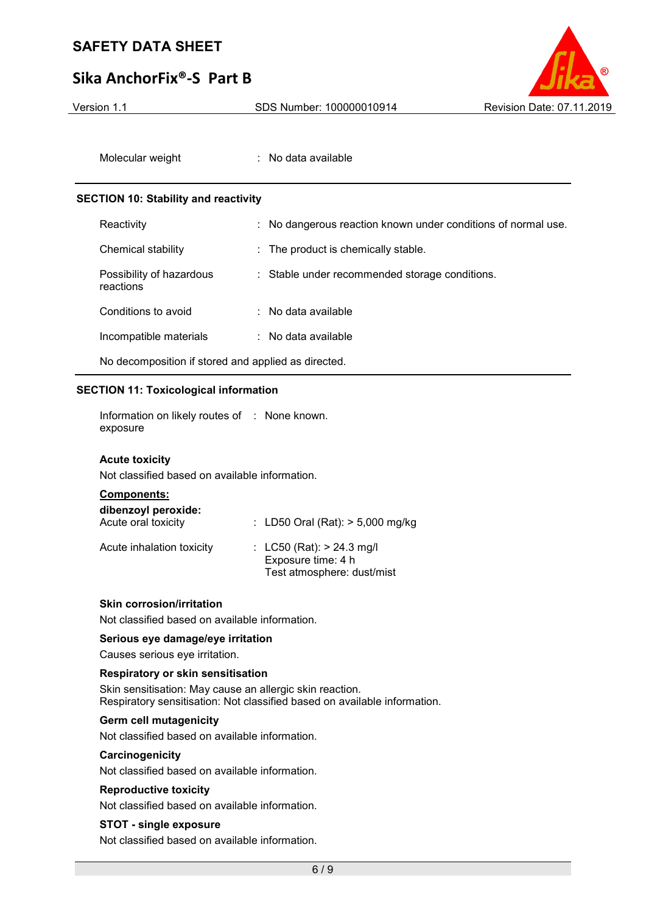# **Sika AnchorFix®-S Part B**



Molecular weight : No data available

#### **SECTION 10: Stability and reactivity**

| Reactivity                                          | : No dangerous reaction known under conditions of normal use. |  |
|-----------------------------------------------------|---------------------------------------------------------------|--|
| Chemical stability                                  | : The product is chemically stable.                           |  |
| Possibility of hazardous<br>reactions               | : Stable under recommended storage conditions.                |  |
| Conditions to avoid                                 | $:$ No data available                                         |  |
| Incompatible materials                              | $\therefore$ No data available                                |  |
| No decomposition if stored and applied as directed. |                                                               |  |

#### **SECTION 11: Toxicological information**

Information on likely routes of : None known. exposure

#### **Acute toxicity**

Not classified based on available information.

| <b>Components:</b> |  |
|--------------------|--|
|                    |  |

| dibenzoyl peroxide:<br>Acute oral toxicity | : LD50 Oral (Rat): > 5,000 mg/kg                                                  |
|--------------------------------------------|-----------------------------------------------------------------------------------|
| Acute inhalation toxicity                  | : $LC50$ (Rat): $> 24.3$ mg/l<br>Exposure time: 4 h<br>Test atmosphere: dust/mist |

#### **Skin corrosion/irritation**

Not classified based on available information.

#### **Serious eye damage/eye irritation**

Causes serious eye irritation.

#### **Respiratory or skin sensitisation**

Skin sensitisation: May cause an allergic skin reaction. Respiratory sensitisation: Not classified based on available information.

## **Germ cell mutagenicity**

Not classified based on available information.

#### **Carcinogenicity**

Not classified based on available information.

#### **Reproductive toxicity**

Not classified based on available information.

### **STOT - single exposure**

Not classified based on available information.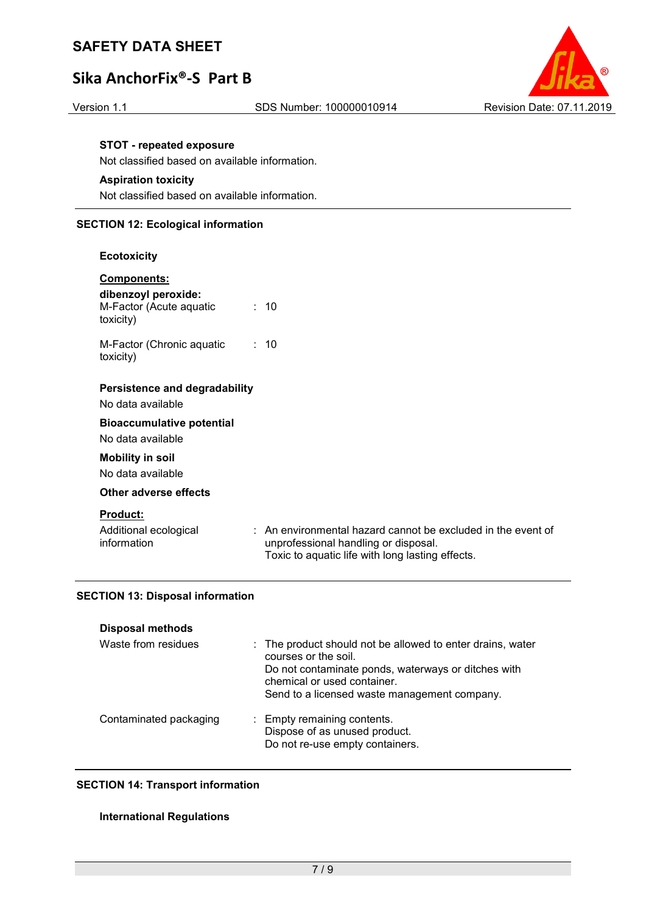# **Sika AnchorFix®-S Part B**



#### **STOT - repeated exposure**

Not classified based on available information.

### **Aspiration toxicity**

Not classified based on available information.

### **SECTION 12: Ecological information**

#### **Ecotoxicity**

| <b>Components:</b><br>dibenzoyl peroxide: |                 |  |
|-------------------------------------------|-----------------|--|
| M-Factor (Acute aquatic<br>toxicity)      | : 10            |  |
| M-Factor (Chronic aguatic<br>toxicity)    | $\therefore$ 10 |  |
| Persistence and degradability             |                 |  |
| No data available                         |                 |  |
| <b>Bioaccumulative potential</b>          |                 |  |
| No data available                         |                 |  |
| <b>Mobility in soil</b>                   |                 |  |
| No data available                         |                 |  |

### **Other adverse effects**

#### **Product:**

| Additional ecological |  | : An environmental hazard cannot be excluded in the event of |
|-----------------------|--|--------------------------------------------------------------|
| information           |  | unprofessional handling or disposal.                         |
|                       |  | Toxic to aquatic life with long lasting effects.             |

### **SECTION 13: Disposal information**

| <b>Disposal methods</b> |                                                                                                                                                                                                                          |
|-------------------------|--------------------------------------------------------------------------------------------------------------------------------------------------------------------------------------------------------------------------|
| Waste from residues     | : The product should not be allowed to enter drains, water<br>courses or the soil.<br>Do not contaminate ponds, waterways or ditches with<br>chemical or used container.<br>Send to a licensed waste management company. |
| Contaminated packaging  | : Empty remaining contents.<br>Dispose of as unused product.<br>Do not re-use empty containers.                                                                                                                          |

### **SECTION 14: Transport information**

### **International Regulations**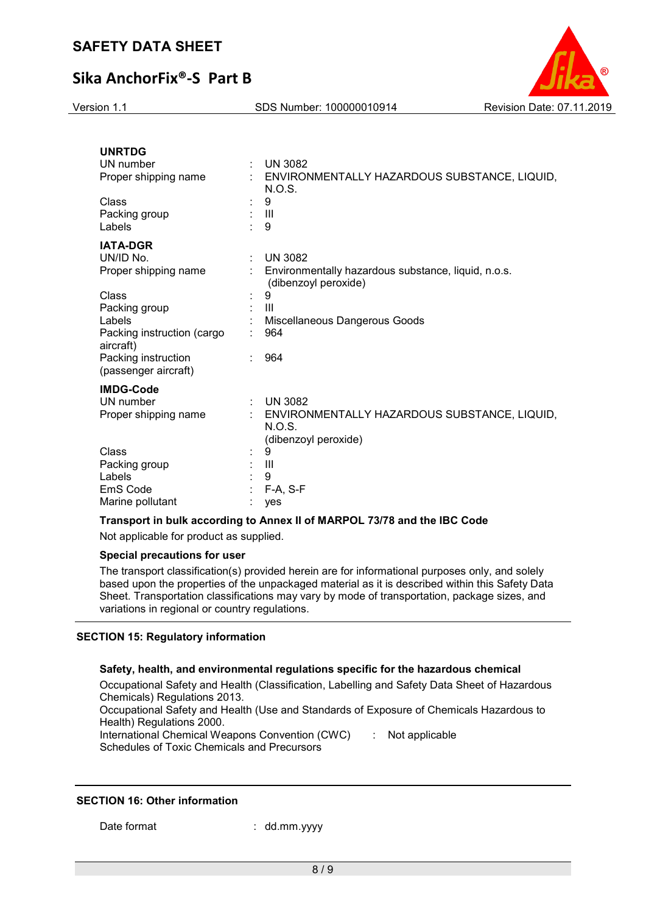

| <b>UNRTDG</b><br>UN number<br>Proper shipping name                                                                                                                                 |   | <b>UN 3082</b><br>: ENVIRONMENTALLY HAZARDOUS SUBSTANCE, LIQUID,<br>N.O.S.                                                                                          |
|------------------------------------------------------------------------------------------------------------------------------------------------------------------------------------|---|---------------------------------------------------------------------------------------------------------------------------------------------------------------------|
| Class<br>Packing group<br>Labels                                                                                                                                                   |   | 9<br>$\mathbf{III}$<br>9                                                                                                                                            |
| <b>IATA-DGR</b><br>UN/ID No.<br>Proper shipping name<br>Class<br>Packing group<br>Labels<br>Packing instruction (cargo<br>aircraft)<br>Packing instruction<br>(passenger aircraft) | ÷ | <b>UN 3082</b><br>Environmentally hazardous substance, liquid, n.o.s.<br>(dibenzoyl peroxide)<br>9<br>$\mathbf{III}$<br>Miscellaneous Dangerous Goods<br>964<br>964 |
| <b>IMDG-Code</b><br>UN number<br>Proper shipping name<br>Class<br>Packing group<br>Labels<br>EmS Code<br>Marine pollutant                                                          |   | $:$ UN 3082<br>ENVIRONMENTALLY HAZARDOUS SUBSTANCE, LIQUID,<br>N.O.S.<br>(dibenzoyl peroxide)<br>9<br>$\mathbf{III}$<br>9<br>F-A, S-F<br>yes                        |

#### **Transport in bulk according to Annex II of MARPOL 73/78 and the IBC Code**

Not applicable for product as supplied.

## **Special precautions for user**

The transport classification(s) provided herein are for informational purposes only, and solely based upon the properties of the unpackaged material as it is described within this Safety Data Sheet. Transportation classifications may vary by mode of transportation, package sizes, and variations in regional or country regulations.

#### **SECTION 15: Regulatory information**

#### **Safety, health, and environmental regulations specific for the hazardous chemical**

Occupational Safety and Health (Classification, Labelling and Safety Data Sheet of Hazardous Chemicals) Regulations 2013.

Occupational Safety and Health (Use and Standards of Exposure of Chemicals Hazardous to Health) Regulations 2000.

International Chemical Weapons Convention (CWC) Schedules of Toxic Chemicals and Precursors

: Not applicable

### **SECTION 16: Other information**

Date format : dd.mm.yyyy